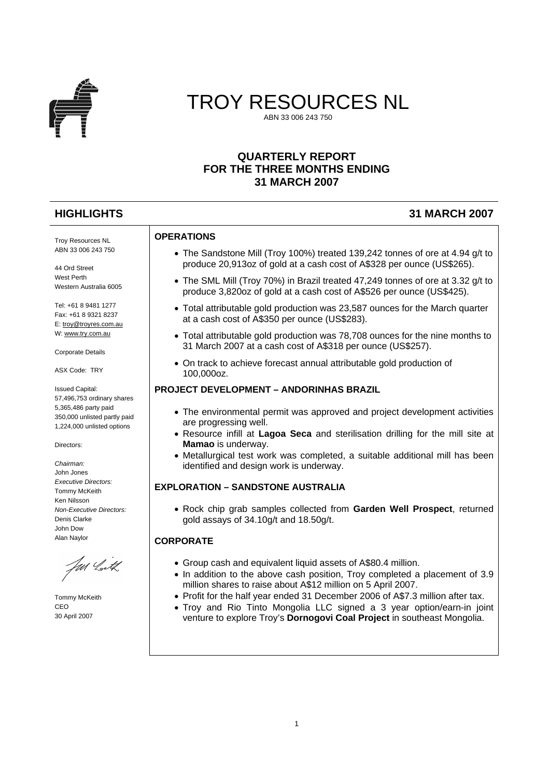

# TROY RESOURCES NL ABN 33 006 243 750

# **QUARTERLY REPORT FOR THE THREE MONTHS ENDING 31 MARCH 2007**

# **HIGHLIGHTS 31 MARCH 2007**

#### **OPERATIONS**

- The Sandstone Mill (Troy 100%) treated 139,242 tonnes of ore at 4.94 g/t to produce 20,913oz of gold at a cash cost of A\$328 per ounce (US\$265).
- The SML Mill (Troy 70%) in Brazil treated 47,249 tonnes of ore at 3.32 g/t to produce 3,820oz of gold at a cash cost of A\$526 per ounce (US\$425).
- Total attributable gold production was 23,587 ounces for the March quarter at a cash cost of A\$350 per ounce (US\$283).
- Total attributable gold production was 78,708 ounces for the nine months to 31 March 2007 at a cash cost of A\$318 per ounce (US\$257).
- On track to achieve forecast annual attributable gold production of 100,000oz.

#### **PROJECT DEVELOPMENT – ANDORINHAS BRAZIL**

- The environmental permit was approved and project development activities are progressing well.
- Resource infill at **Lagoa Seca** and sterilisation drilling for the mill site at **Mamao** is underway.
- Metallurgical test work was completed, a suitable additional mill has been identified and design work is underway.

#### **EXPLORATION – SANDSTONE AUSTRALIA**

• Rock chip grab samples collected from **Garden Well Prospect**, returned gold assays of 34.10g/t and 18.50g/t.

## **CORPORATE**

- Group cash and equivalent liquid assets of A\$80.4 million.
- In addition to the above cash position, Troy completed a placement of 3.9 million shares to raise about A\$12 million on 5 April 2007.
- Profit for the half year ended 31 December 2006 of A\$7.3 million after tax.
- Troy and Rio Tinto Mongolia LLC signed a 3 year option/earn-in joint venture to explore Troy's **Dornogovi Coal Project** in southeast Mongolia.

Troy Resources NL ABN 33 006 243 750

44 Ord Street West Perth Western Australia 6005

Tel: +61 8 9481 1277 Fax: +61 8 9321 8237 E: [troy@troyres.com.au](mailto:troy@troyres.com.au) W: [www.try.com.au](http://www.try.com.au/)

Corporate Details

ASX Code: TRY

Issued Capital: 57,496,753 ordinary shares 5,365,486 party paid 350,000 unlisted partly paid 1,224,000 unlisted options

Directors:

*Chairman:*  John Jones *Executive Directors:*  Tommy McKeith Ken Nilsson *Non-Executive Directors:*  Denis Clarke John Dow Alan Naylor

Nd Loth

Tommy McKeith CEO 30 April 2007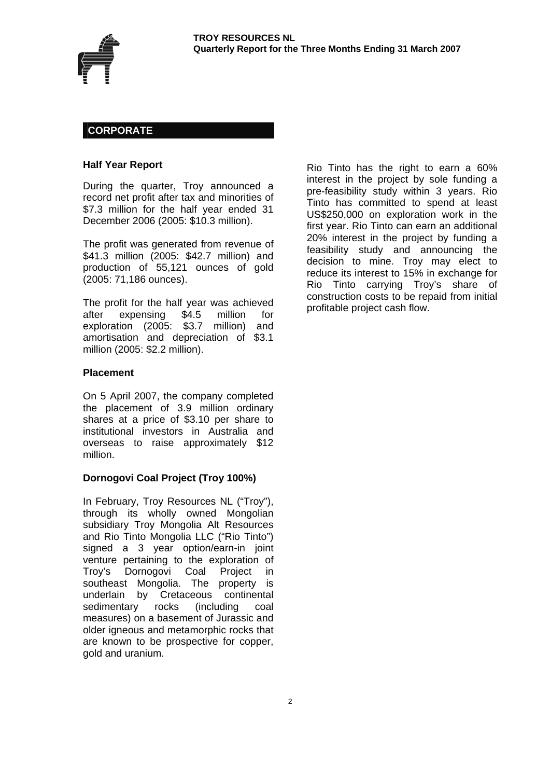

## **CORPORATE**

#### **Half Year Report**

During the quarter, Troy announced a record net profit after tax and minorities of \$7.3 million for the half year ended 31 December 2006 (2005: \$10.3 million).

The profit was generated from revenue of \$41.3 million (2005: \$42.7 million) and production of 55,121 ounces of gold (2005: 71,186 ounces).

The profit for the half year was achieved after expensing \$4.5 million for exploration (2005: \$3.7 million) and amortisation and depreciation of \$3.1 million (2005: \$2.2 million).

#### **Placement**

On 5 April 2007, the company completed the placement of 3.9 million ordinary shares at a price of \$3.10 per share to institutional investors in Australia and overseas to raise approximately \$12 million.

#### **Dornogovi Coal Project (Troy 100%)**

In February, Troy Resources NL ("Troy"), through its wholly owned Mongolian subsidiary Troy Mongolia Alt Resources and Rio Tinto Mongolia LLC ("Rio Tinto") signed a 3 year option/earn-in joint venture pertaining to the exploration of Troy's Dornogovi Coal Project in southeast Mongolia. The property is underlain by Cretaceous continental sedimentary rocks (including coal measures) on a basement of Jurassic and older igneous and metamorphic rocks that are known to be prospective for copper, gold and uranium.

Rio Tinto has the right to earn a 60% interest in the project by sole funding a pre-feasibility study within 3 years. Rio Tinto has committed to spend at least US\$250,000 on exploration work in the first year. Rio Tinto can earn an additional 20% interest in the project by funding a feasibility study and announcing the decision to mine. Troy may elect to reduce its interest to 15% in exchange for Rio Tinto carrying Troy's share of construction costs to be repaid from initial profitable project cash flow.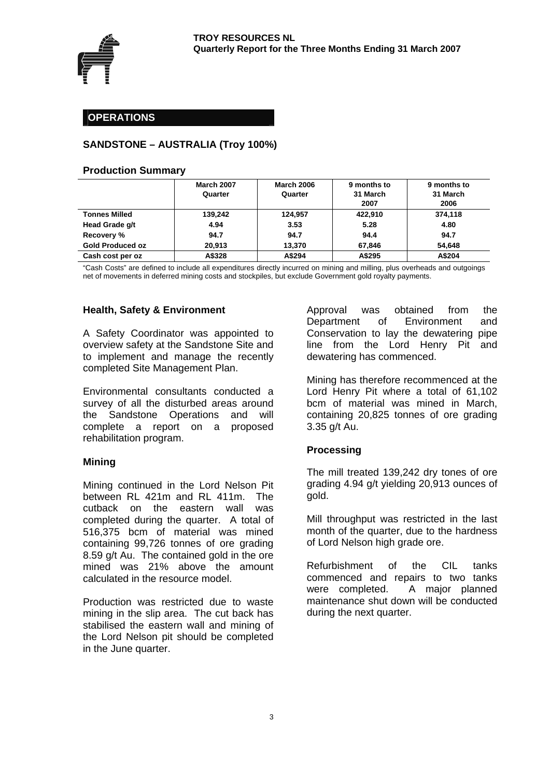

## **OPERATIONS**

## **SANDSTONE – AUSTRALIA (Troy 100%)**

#### **Production Summary**

|                         | <b>March 2007</b><br>Quarter | <b>March 2006</b><br>Quarter | 9 months to<br>31 March<br>2007 | 9 months to<br>31 March<br>2006 |  |
|-------------------------|------------------------------|------------------------------|---------------------------------|---------------------------------|--|
| <b>Tonnes Milled</b>    | 139.242                      | 124.957                      | 422.910                         | 374.118                         |  |
| Head Grade g/t          | 4.94                         | 3.53                         | 5.28                            | 4.80                            |  |
| Recovery %              | 94.7                         | 94.7                         | 94.4                            | 94.7                            |  |
| <b>Gold Produced oz</b> | 20.913                       | 13.370                       | 67.846                          | 54.648                          |  |
| Cash cost per oz        | A\$328                       | A\$294                       | A\$295                          | A\$204                          |  |

"Cash Costs" are defined to include all expenditures directly incurred on mining and milling, plus overheads and outgoings net of movements in deferred mining costs and stockpiles, but exclude Government gold royalty payments.

#### **Health, Safety & Environment**

A Safety Coordinator was appointed to overview safety at the Sandstone Site and to implement and manage the recently completed Site Management Plan.

Environmental consultants conducted a survey of all the disturbed areas around the Sandstone Operations and will complete a report on a proposed rehabilitation program.

#### **Mining**

Mining continued in the Lord Nelson Pit between RL 421m and RL 411m. The cutback on the eastern wall was completed during the quarter. A total of 516,375 bcm of material was mined containing 99,726 tonnes of ore grading 8.59 g/t Au. The contained gold in the ore mined was 21% above the amount calculated in the resource model.

Production was restricted due to waste mining in the slip area. The cut back has stabilised the eastern wall and mining of the Lord Nelson pit should be completed in the June quarter.

Approval was obtained from the Department of Environment and Conservation to lay the dewatering pipe line from the Lord Henry Pit and dewatering has commenced.

Mining has therefore recommenced at the Lord Henry Pit where a total of 61,102 bcm of material was mined in March, containing 20,825 tonnes of ore grading 3.35 g/t Au.

## **Processing**

The mill treated 139,242 dry tones of ore grading 4.94 g/t yielding 20,913 ounces of gold.

Mill throughput was restricted in the last month of the quarter, due to the hardness of Lord Nelson high grade ore.

Refurbishment of the CIL tanks commenced and repairs to two tanks were completed. A major planned maintenance shut down will be conducted during the next quarter.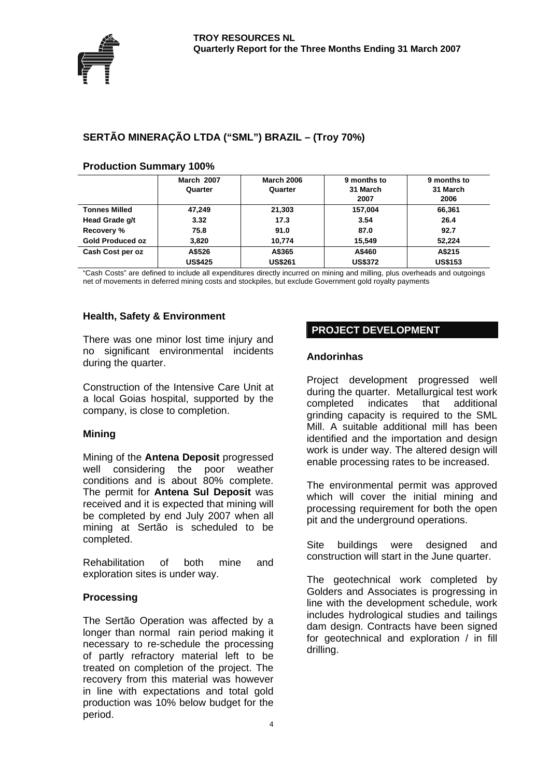

# **SERTÃO MINERAÇÃO LTDA ("SML") BRAZIL – (Troy 70%)**

|                         | <b>March 2007</b><br>Quarter | <b>March 2006</b><br>Quarter | 9 months to<br>31 March<br>2007 | 9 months to<br>31 March<br>2006 |  |
|-------------------------|------------------------------|------------------------------|---------------------------------|---------------------------------|--|
| <b>Tonnes Milled</b>    | 47,249                       | 21,303                       | 157,004                         | 66,361                          |  |
| Head Grade g/t          | 3.32                         | 17.3                         | 3.54                            | 26.4                            |  |
| Recovery %              | 75.8                         | 91.0                         | 87.0                            | 92.7                            |  |
| <b>Gold Produced oz</b> | 3,820                        | 10.774                       | 15.549                          | 52.224                          |  |
| Cash Cost per oz        | A\$526                       | A\$365                       | A\$460                          | A\$215                          |  |
|                         | <b>US\$425</b>               | <b>US\$261</b>               | <b>US\$372</b>                  | <b>US\$153</b>                  |  |

#### **Production Summary 100%**

"Cash Costs" are defined to include all expenditures directly incurred on mining and milling, plus overheads and outgoings net of movements in deferred mining costs and stockpiles, but exclude Government gold royalty payments

## **Health, Safety & Environment**

There was one minor lost time injury and no significant environmental incidents during the quarter.

Construction of the Intensive Care Unit at a local Goias hospital, supported by the company, is close to completion.

## **Mining**

Mining of the **Antena Deposit** progressed well considering the poor weather conditions and is about 80% complete. The permit for **Antena Sul Deposit** was received and it is expected that mining will be completed by end July 2007 when all mining at Sertão is scheduled to be completed.

Rehabilitation of both mine and exploration sites is under way.

## **Processing**

The Sertão Operation was affected by a longer than normal rain period making it necessary to re-schedule the processing of partly refractory material left to be treated on completion of the project. The recovery from this material was however in line with expectations and total gold production was 10% below budget for the period.

## **PROJECT DEVELOPMENT**

## **Andorinhas**

Project development progressed well during the quarter. Metallurgical test work completed indicates that additional grinding capacity is required to the SML Mill. A suitable additional mill has been identified and the importation and design work is under way. The altered design will enable processing rates to be increased.

The environmental permit was approved which will cover the initial mining and processing requirement for both the open pit and the underground operations.

Site buildings were designed and construction will start in the June quarter.

The geotechnical work completed by Golders and Associates is progressing in line with the development schedule, work includes hydrological studies and tailings dam design. Contracts have been signed for geotechnical and exploration / in fill drilling.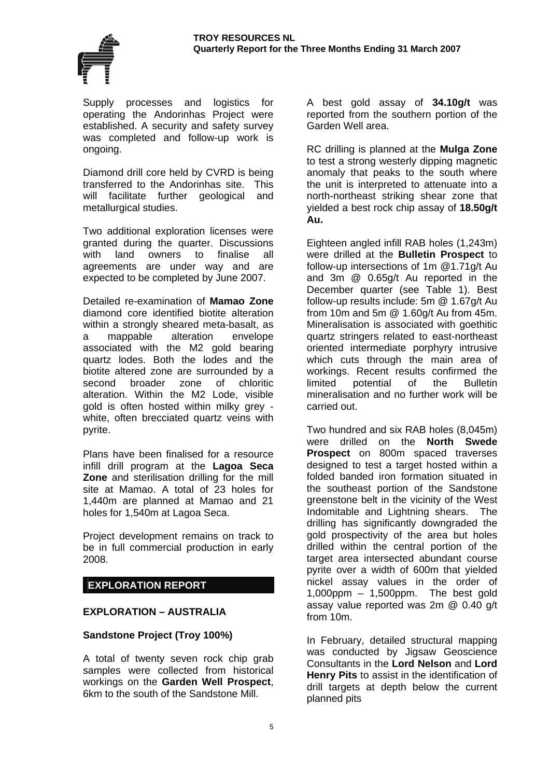

Supply processes and logistics for operating the Andorinhas Project were established. A security and safety survey was completed and follow-up work is ongoing.

Diamond drill core held by CVRD is being transferred to the Andorinhas site. This will facilitate further geological and metallurgical studies.

Two additional exploration licenses were granted during the quarter. Discussions with land owners to finalise all agreements are under way and are expected to be completed by June 2007.

Detailed re-examination of **Mamao Zone** diamond core identified biotite alteration within a strongly sheared meta-basalt, as a mappable alteration envelope associated with the M2 gold bearing quartz lodes. Both the lodes and the biotite altered zone are surrounded by a second broader zone of chloritic alteration. Within the M2 Lode, visible gold is often hosted within milky grey white, often brecciated quartz veins with pyrite.

Plans have been finalised for a resource infill drill program at the **Lagoa Seca Zone** and sterilisation drilling for the mill site at Mamao. A total of 23 holes for 1,440m are planned at Mamao and 21 holes for 1,540m at Lagoa Seca.

Project development remains on track to be in full commercial production in early 2008.

## **EXPLORATION REPORT**

## **EXPLORATION – AUSTRALIA**

## **Sandstone Project (Troy 100%)**

A total of twenty seven rock chip grab samples were collected from historical workings on the **Garden Well Prospect**, 6km to the south of the Sandstone Mill.

A best gold assay of **34.10g/t** was reported from the southern portion of the Garden Well area.

RC drilling is planned at the **Mulga Zone** to test a strong westerly dipping magnetic anomaly that peaks to the south where the unit is interpreted to attenuate into a north-northeast striking shear zone that yielded a best rock chip assay of **18.50g/t Au.**

Eighteen angled infill RAB holes (1,243m) were drilled at the **Bulletin Prospect** to follow-up intersections of 1m @1.71g/t Au and 3m @ 0.65g/t Au reported in the December quarter (see Table 1). Best follow-up results include: 5m @ 1.67g/t Au from 10m and 5m @ 1.60g/t Au from 45m. Mineralisation is associated with goethitic quartz stringers related to east-northeast oriented intermediate porphyry intrusive which cuts through the main area of workings. Recent results confirmed the limited potential of the Bulletin mineralisation and no further work will be carried out.

Two hundred and six RAB holes (8,045m) were drilled on the **North Swede Prospect** on 800m spaced traverses designed to test a target hosted within a folded banded iron formation situated in the southeast portion of the Sandstone greenstone belt in the vicinity of the West Indomitable and Lightning shears. The drilling has significantly downgraded the gold prospectivity of the area but holes drilled within the central portion of the target area intersected abundant course pyrite over a width of 600m that yielded nickel assay values in the order of  $1,000$ ppm  $-1,500$ ppm. The best gold assay value reported was 2m @ 0.40 g/t from 10m.

In February, detailed structural mapping was conducted by Jigsaw Geoscience Consultants in the **Lord Nelson** and **Lord Henry Pits** to assist in the identification of drill targets at depth below the current planned pits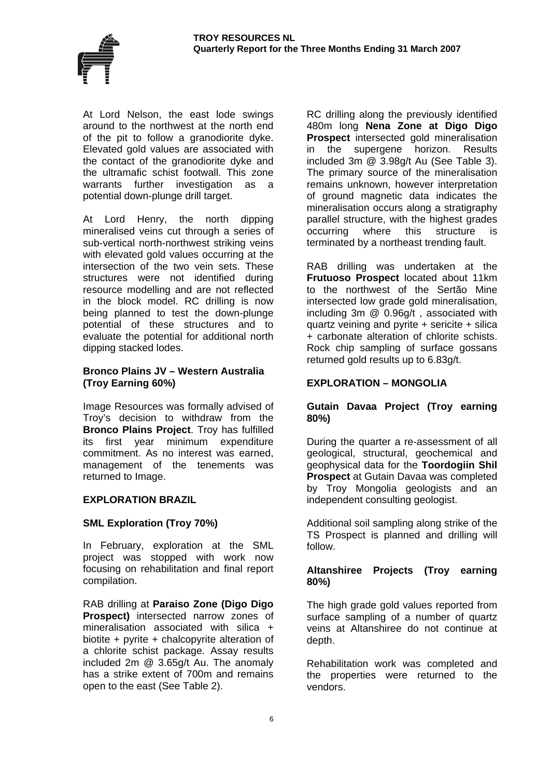

At Lord Nelson, the east lode swings around to the northwest at the north end of the pit to follow a granodiorite dyke. Elevated gold values are associated with the contact of the granodiorite dyke and the ultramafic schist footwall. This zone warrants further investigation as a potential down-plunge drill target.

At Lord Henry, the north dipping mineralised veins cut through a series of sub-vertical north-northwest striking veins with elevated gold values occurring at the intersection of the two vein sets. These structures were not identified during resource modelling and are not reflected in the block model. RC drilling is now being planned to test the down-plunge potential of these structures and to evaluate the potential for additional north dipping stacked lodes.

#### **Bronco Plains JV – Western Australia (Troy Earning 60%)**

Image Resources was formally advised of Troy's decision to withdraw from the **Bronco Plains Project**. Troy has fulfilled its first year minimum expenditure commitment. As no interest was earned, management of the tenements was returned to Image.

## **EXPLORATION BRAZIL**

## **SML Exploration (Troy 70%)**

In February, exploration at the SML project was stopped with work now focusing on rehabilitation and final report compilation.

RAB drilling at **Paraiso Zone (Digo Digo Prospect)** intersected narrow zones of mineralisation associated with silica + biotite + pyrite + chalcopyrite alteration of a chlorite schist package. Assay results included 2m @ 3.65g/t Au. The anomaly has a strike extent of 700m and remains open to the east (See Table 2).

RC drilling along the previously identified 480m long **Nena Zone at Digo Digo Prospect** intersected gold mineralisation in the supergene horizon. Results included 3m @ 3.98g/t Au (See Table 3). The primary source of the mineralisation remains unknown, however interpretation of ground magnetic data indicates the mineralisation occurs along a stratigraphy parallel structure, with the highest grades occurring where this structure is terminated by a northeast trending fault.

RAB drilling was undertaken at the **Frutuoso Prospect** located about 11km to the northwest of the Sertão Mine intersected low grade gold mineralisation, including 3m @ 0.96g/t , associated with quartz veining and pyrite + sericite + silica + carbonate alteration of chlorite schists. Rock chip sampling of surface gossans returned gold results up to 6.83g/t.

## **EXPLORATION – MONGOLIA**

## **Gutain Davaa Project (Troy earning 80%)**

During the quarter a re-assessment of all geological, structural, geochemical and geophysical data for the **Toordogiin Shil Prospect** at Gutain Davaa was completed by Troy Mongolia geologists and an independent consulting geologist.

Additional soil sampling along strike of the TS Prospect is planned and drilling will follow.

## **Altanshiree Projects (Troy earning 80%)**

The high grade gold values reported from surface sampling of a number of quartz veins at Altanshiree do not continue at depth.

Rehabilitation work was completed and the properties were returned to the vendors.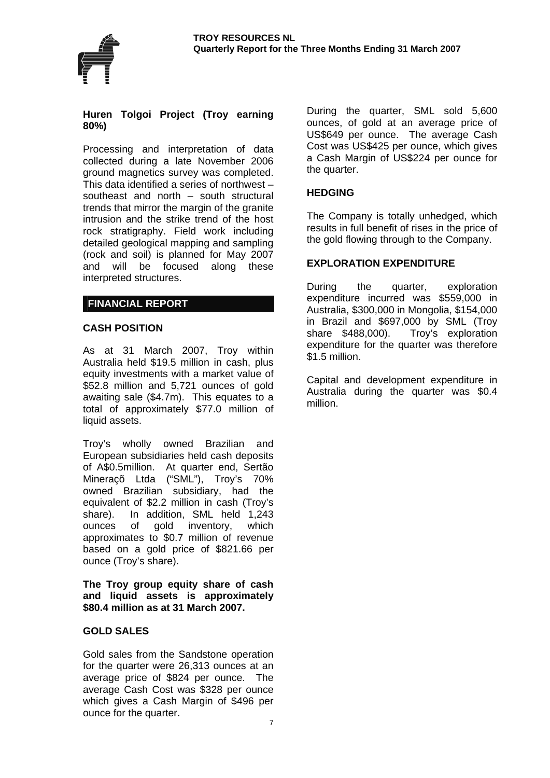



#### **Huren Tolgoi Project (Troy earning 80%)**

Processing and interpretation of data collected during a late November 2006 ground magnetics survey was completed. This data identified a series of northwest – southeast and north – south structural trends that mirror the margin of the granite intrusion and the strike trend of the host rock stratigraphy. Field work including detailed geological mapping and sampling (rock and soil) is planned for May 2007 and will be focused along these interpreted structures.

## **FINANCIAL REPORT**

## **CASH POSITION**

As at 31 March 2007, Troy within Australia held \$19.5 million in cash, plus equity investments with a market value of \$52.8 million and 5,721 ounces of gold awaiting sale (\$4.7m). This equates to a total of approximately \$77.0 million of liquid assets.

Troy's wholly owned Brazilian and European subsidiaries held cash deposits of A\$0.5million. At quarter end, Sertão Mineraçõ Ltda ("SML"), Troy's 70% owned Brazilian subsidiary, had the equivalent of \$2.2 million in cash (Troy's share). In addition, SML held 1,243 ounces of gold inventory, which approximates to \$0.7 million of revenue based on a gold price of \$821.66 per ounce (Troy's share).

**The Troy group equity share of cash and liquid assets is approximately \$80.4 million as at 31 March 2007.** 

#### **GOLD SALES**

Gold sales from the Sandstone operation for the quarter were 26,313 ounces at an average price of \$824 per ounce. The average Cash Cost was \$328 per ounce which gives a Cash Margin of \$496 per ounce for the quarter.

During the quarter, SML sold 5,600 ounces, of gold at an average price of US\$649 per ounce. The average Cash Cost was US\$425 per ounce, which gives a Cash Margin of US\$224 per ounce for the quarter.

#### **HEDGING**

The Company is totally unhedged, which results in full benefit of rises in the price of the gold flowing through to the Company.

#### **EXPLORATION EXPENDITURE**

During the quarter, exploration expenditure incurred was \$559,000 in Australia, \$300,000 in Mongolia, \$154,000 in Brazil and \$697,000 by SML (Troy share \$488,000). Troy's exploration expenditure for the quarter was therefore \$1.5 million.

Capital and development expenditure in Australia during the quarter was \$0.4 million.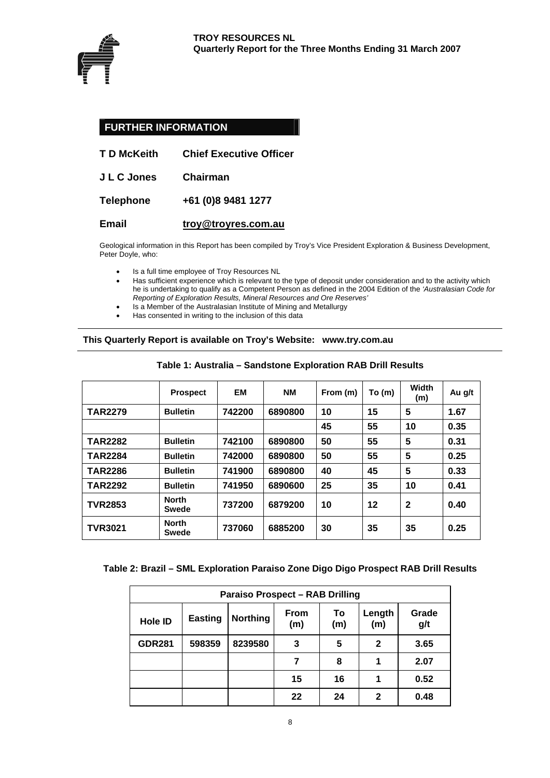

## **FURTHER INFORMATION**

| T D McKeith<br><b>Chief Executive Officer</b> |
|-----------------------------------------------|
|-----------------------------------------------|

**J L C Jones Chairman** 

**Telephone +61 (0)8 9481 1277** 

#### **Email [troy@troyres.com.au](mailto:troy@troyres.com.au)**

Geological information in this Report has been compiled by Troy's Vice President Exploration & Business Development, Peter Doyle, who:

- Is a full time employee of Troy Resources NL
- Has sufficient experience which is relevant to the type of deposit under consideration and to the activity which he is undertaking to qualify as a Competent Person as defined in the 2004 Edition of the *'Australasian Code for Reporting of Exploration Results, Mineral Resources and Ore Reserves'*
- Is a Member of the Australasian Institute of Mining and Metallurgy
- Has consented in writing to the inclusion of this data

#### **This Quarterly Report is available on Troy's Website: www.try.com.au**

|                | <b>Prospect</b>              | ЕM     | <b>NM</b> | From (m) | To (m) | Width<br>(m) | Au g/t |
|----------------|------------------------------|--------|-----------|----------|--------|--------------|--------|
| <b>TAR2279</b> | <b>Bulletin</b>              | 742200 | 6890800   | 10       | 15     | 5            | 1.67   |
|                |                              |        |           | 45       | 55     | 10           | 0.35   |
| <b>TAR2282</b> | <b>Bulletin</b>              | 742100 | 6890800   | 50       | 55     | 5            | 0.31   |
| <b>TAR2284</b> | <b>Bulletin</b>              | 742000 | 6890800   | 50       | 55     | 5            | 0.25   |
| <b>TAR2286</b> | <b>Bulletin</b>              | 741900 | 6890800   | 40       | 45     | 5            | 0.33   |
| <b>TAR2292</b> | <b>Bulletin</b>              | 741950 | 6890600   | 25       | 35     | 10           | 0.41   |
| <b>TVR2853</b> | <b>North</b><br><b>Swede</b> | 737200 | 6879200   | 10       | 12     | $\mathbf{2}$ | 0.40   |
| <b>TVR3021</b> | <b>North</b><br>Swede        | 737060 | 6885200   | 30       | 35     | 35           | 0.25   |

#### **Table 1: Australia – Sandstone Exploration RAB Drill Results**

#### **Table 2: Brazil – SML Exploration Paraiso Zone Digo Digo Prospect RAB Drill Results**

| <b>Paraiso Prospect - RAB Drilling</b>                                          |        |         |    |    |               |              |  |  |
|---------------------------------------------------------------------------------|--------|---------|----|----|---------------|--------------|--|--|
| To<br><b>From</b><br><b>Northing</b><br><b>Easting</b><br>Hole ID<br>(m)<br>(m) |        |         |    |    | Length<br>(m) | Grade<br>g/t |  |  |
| <b>GDR281</b>                                                                   | 598359 | 8239580 | 3  | 5  | 2             | 3.65         |  |  |
|                                                                                 |        |         |    | 8  | 1             | 2.07         |  |  |
|                                                                                 |        |         | 15 | 16 | 1             | 0.52         |  |  |
|                                                                                 |        |         | 22 | 24 | 2             | 0.48         |  |  |